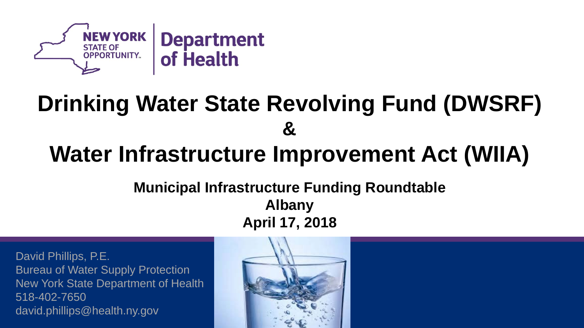

# **Drinking Water State Revolving Fund (DWSRF) &**

## **Water Infrastructure Improvement Act (WIIA)**

#### **Municipal Infrastructure Funding Roundtable Albany April 17, 2018**

David Phillips, P.E. Bureau of Water Supply Protection New York State Department of Health 518-402-7650 david.phillips@health.ny.gov

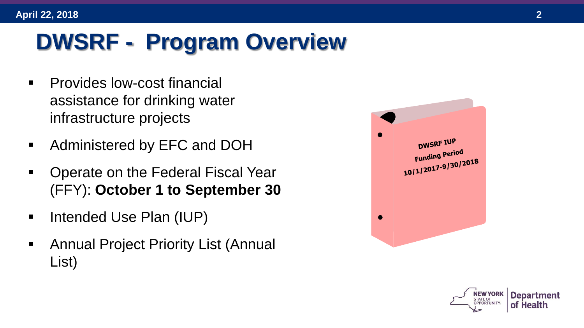# **DWSRF - Program Overview**

- **•** Provides low-cost financial assistance for drinking water infrastructure projects
- **Administered by EFC and DOH**
- Operate on the Federal Fiscal Year (FFY): **October 1 to September 30**
- Intended Use Plan (IUP)
- Annual Project Priority List (Annual List)



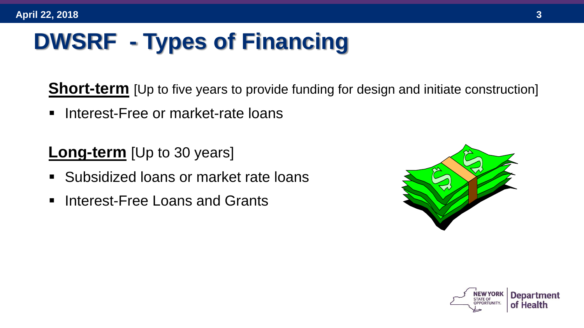# **DWSRF - Types of Financing**

**Short-term** [Up to five years to provide funding for design and initiate construction]

**Interest-Free or market-rate loans** 

**Long-term** [Up to 30 years]

- **Subsidized loans or market rate loans**
- **Interest-Free Loans and Grants**



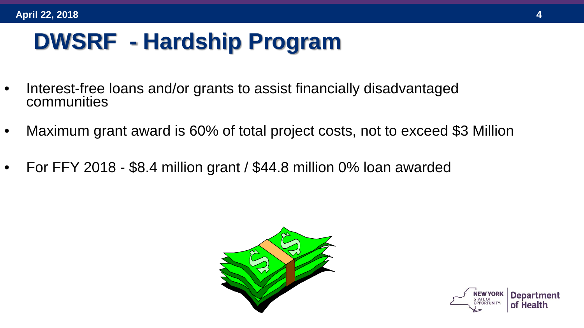# **DWSRF - Hardship Program**

- Interest-free loans and/or grants to assist financially disadvantaged communities
- Maximum grant award is 60% of total project costs, not to exceed \$3 Million
- For FFY 2018 \$8.4 million grant / \$44.8 million 0% loan awarded



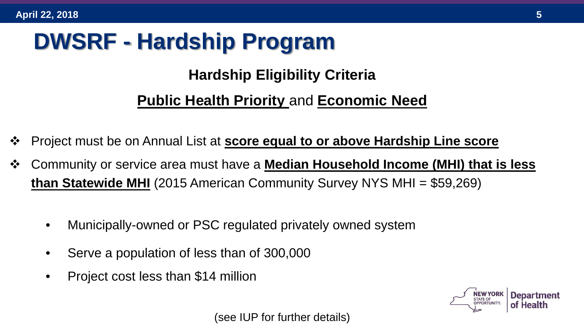# **DWSRF - Hardship Program**

#### **Hardship Eligibility Criteria**

#### **Public Health Priority** and **Economic Need**

- Project must be on Annual List at **score equal to or above Hardship Line score**
- Community or service area must have a **Median Household Income (MHI) that is less than Statewide MHI** (2015 American Community Survey NYS MHI = \$59,269)
	- Municipally-owned or PSC regulated privately owned system
	- Serve a population of less than of 300,000
	- Project cost less than \$14 million



(see IUP for further details)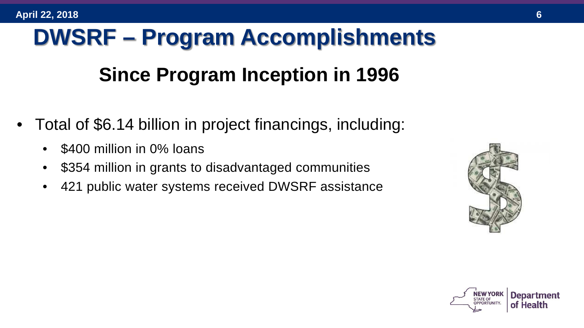# **DWSRF – Program Accomplishments**

### **Since Program Inception in 1996**

- Total of \$6.14 billion in project financings, including:
	- \$400 million in 0% loans
	- \$354 million in grants to disadvantaged communities
	- 421 public water systems received DWSRF assistance



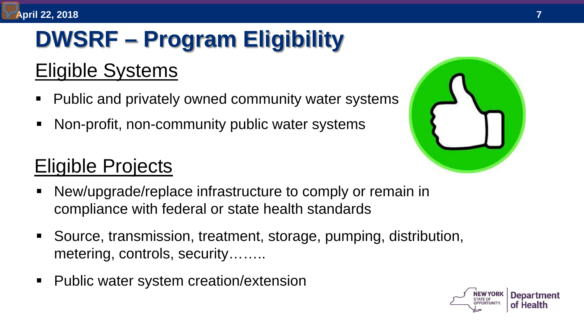# **DWSRF – Program Eligibility**

### Eligible Systems

- **Public and privately owned community water systems**
- Non-profit, non-community public water systems

#### Eligible Projects

- New/upgrade/replace infrastructure to comply or remain in compliance with federal or state health standards
- Source, transmission, treatment, storage, pumping, distribution, metering, controls, security……..
- Public water system creation/extension



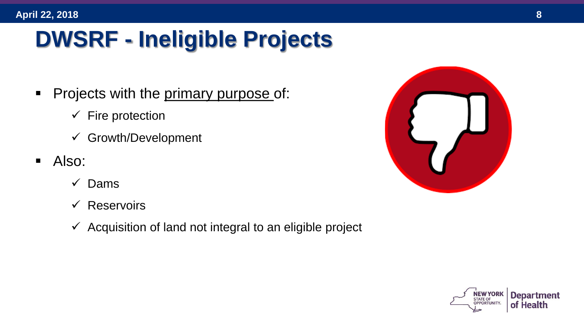# **DWSRF - Ineligible Projects**

- Projects with the primary purpose of:
	- $\checkmark$  Fire protection
	- $\checkmark$  Growth/Development
- Also:
	- $\checkmark$  Dams
	- $\checkmark$  Reservoirs
	- $\checkmark$  Acquisition of land not integral to an eligible project



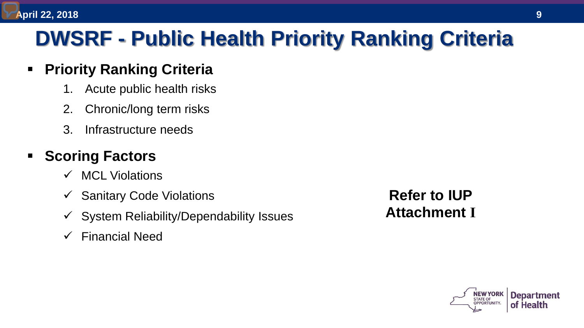## **DWSRF - Public Health Priority Ranking Criteria**

#### **Priority Ranking Criteria**

- 1. Acute public health risks
- 2. Chronic/long term risks
- 3. Infrastructure needs

#### **Scoring Factors**

- $\checkmark$  MCL Violations
- $\checkmark$  Sanitary Code Violations
- $\checkmark$  System Reliability/Dependability Issues
- $\checkmark$  Financial Need

**Refer to IUP Attachment I**

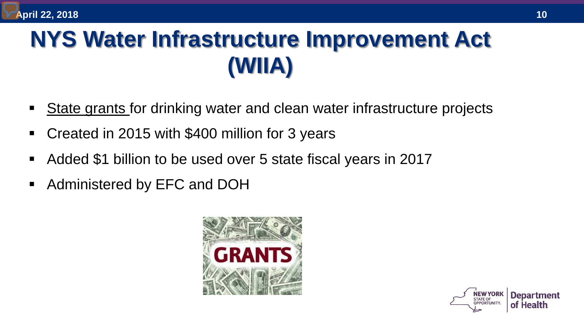# **NYS Water Infrastructure Improvement Act (WIIA)**

- State grants for drinking water and clean water infrastructure projects
- Created in 2015 with \$400 million for 3 years
- Added \$1 billion to be used over 5 state fiscal years in 2017
- Administered by EFC and DOH



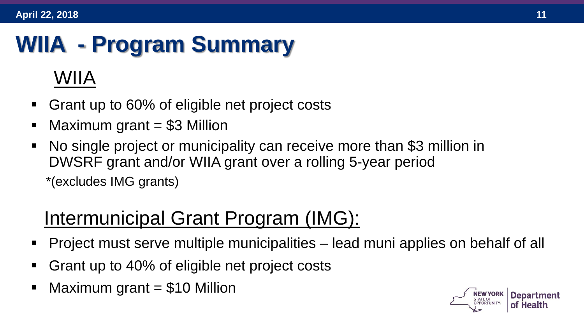# **WIIA - Program Summary**

#### WIIA

- Grant up to 60% of eligible net project costs
- Maximum grant = \$3 Million
- No single project or municipality can receive more than \$3 million in DWSRF grant and/or WIIA grant over a rolling 5-year period \*(excludes IMG grants)

### Intermunicipal Grant Program (IMG):

- Project must serve multiple municipalities lead muni applies on behalf of all
- Grant up to 40% of eligible net project costs
- Maximum grant  $= $10$  Million

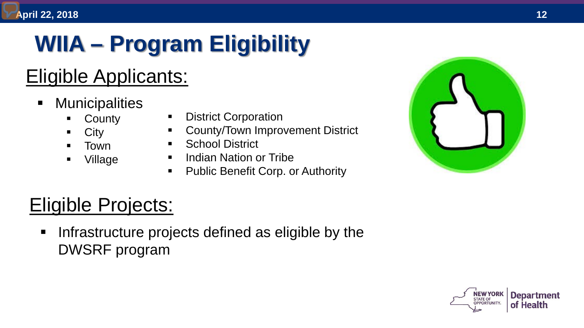# **WIIA – Program Eligibility**

### Eligible Applicants:

- **Municipalities** 
	- **County**
	- **City**
	- Town
	- Village
- 
- 
- 
- 
- 



### Eligible Projects:

**Infrastructure projects defined as eligible by the** - County - District Corporation<br>
- City - County/Town Improvement District<br>
- Town - School District<br>
- Indian Nation or Tribe<br>
- Public Benefit Corp. or Authority<br>
- Public Benefit Corp. or Authority<br>
- Public Benefit Cor

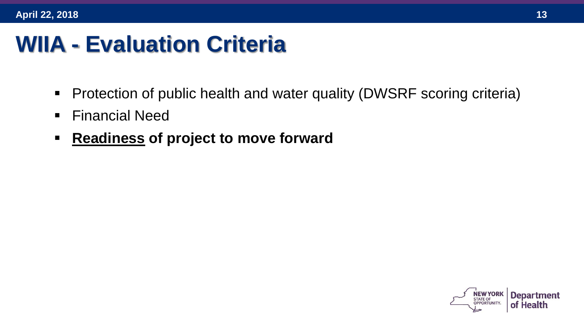## **WIIA - Evaluation Criteria**

- Protection of public health and water quality (DWSRF scoring criteria)
- **Financial Need**
- **Readiness of project to move forward**

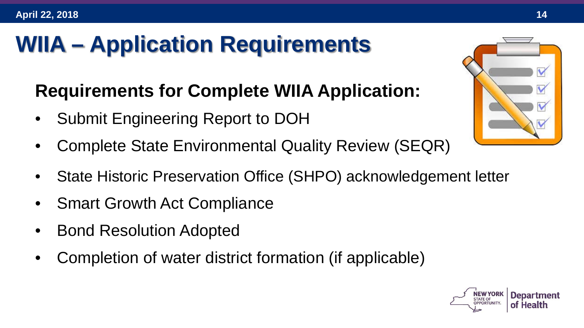# **WIIA – Application Requirements**

#### **Requirements for Complete WIIA Application:**

- Submit Engineering Report to DOH
- Complete State Environmental Quality Review (SEQR)
- State Historic Preservation Office (SHPO) acknowledgement letter
- Smart Growth Act Compliance
- Bond Resolution Adopted
- Completion of water district formation (if applicable)



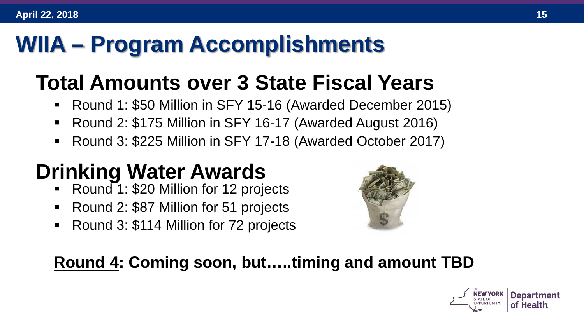## **WIIA – Program Accomplishments**

## **Total Amounts over 3 State Fiscal Years**

- Round 1: \$50 Million in SFY 15-16 (Awarded December 2015)
- Round 2: \$175 Million in SFY 16-17 (Awarded August 2016)
- Round 3: \$225 Million in SFY 17-18 (Awarded October 2017)

## **Drinking Water Awards**

- Round 1: \$20 Million for 12 projects
- Round 2: \$87 Million for 51 projects
- Round 3: \$114 Million for 72 projects



#### **Round 4: Coming soon, but…..timing and amount TBD**

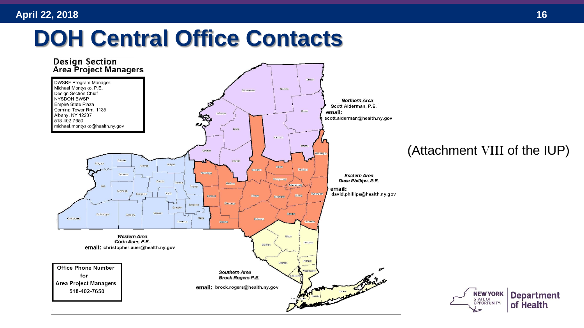## **DOH Central Office Contacts**



#### (Attachment VIII of the IUP)